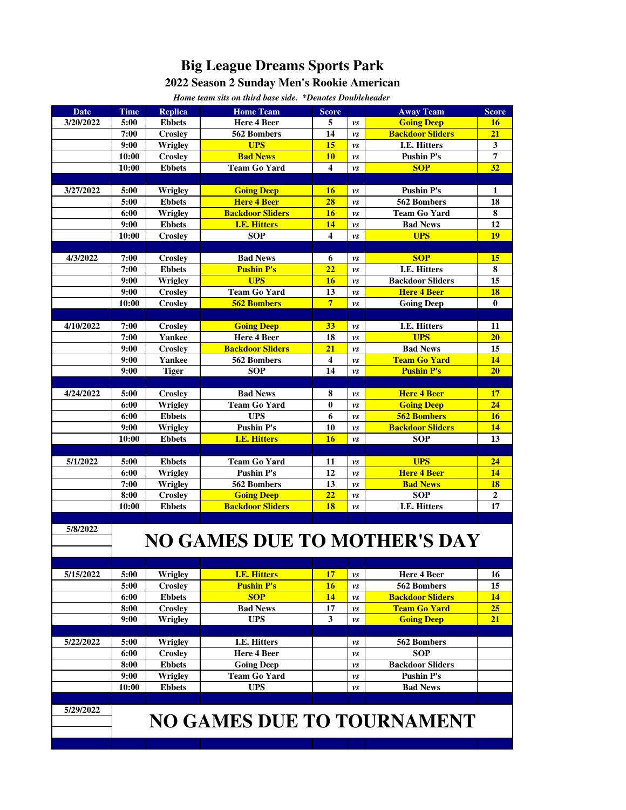## **Big League Dreams Sports Park**

## **2022 Season 2 Sunday Men's Rookie American**

| Home team sits on third base side. *Denotes Doubleheader |                                     |                          |                                   |                         |                                   |                         |              |
|----------------------------------------------------------|-------------------------------------|--------------------------|-----------------------------------|-------------------------|-----------------------------------|-------------------------|--------------|
| <b>Date</b>                                              | <b>Time</b>                         | <b>Replica</b>           | <b>Home Team</b>                  | <b>Score</b>            |                                   | <b>Away Team</b>        | <b>Score</b> |
| 3/20/2022                                                | 5:00                                | <b>Ebbets</b>            | Here 4 Beer                       | 5                       | vs                                | <b>Going Deep</b>       | <b>16</b>    |
|                                                          | 7:00                                | <b>Crosley</b>           | 562 Bombers                       | 14                      | vs                                | <b>Backdoor Sliders</b> | 21           |
|                                                          | 9:00                                | <b>Wrigley</b>           | <b>UPS</b>                        | 15                      | vs                                | I.E. Hitters            | 3            |
|                                                          | 10:00                               | <b>Croslev</b>           | <b>Bad News</b>                   | 10                      | vs                                | <b>Pushin P's</b>       | 7            |
|                                                          | 10:00                               | <b>Ebbets</b>            | <b>Team Go Yard</b>               | $\overline{\mathbf{4}}$ | $\boldsymbol{\nu} \boldsymbol{s}$ | <b>SOP</b>              | 32           |
|                                                          |                                     |                          |                                   |                         |                                   |                         |              |
| 3/27/2022                                                | 5:00                                | <b>Wrigley</b>           | <b>Going Deep</b>                 | 16                      | vs                                | <b>Pushin P's</b>       | 1            |
|                                                          | 5:00                                | <b>Ebbets</b>            | <b>Here 4 Beer</b>                | 28                      | vs                                | 562 Bombers             | 18           |
|                                                          | 6:00                                | <b>Wrigley</b>           | <b>Backdoor Sliders</b>           | 16                      | vs                                | <b>Team Go Yard</b>     | 8            |
|                                                          | 9:00                                | <b>Ebbets</b>            | <b>I.E. Hitters</b>               | 14                      | vs                                | <b>Bad News</b>         | 12           |
|                                                          | 10:00                               | <b>Crosley</b>           | <b>SOP</b>                        | 4                       | $\boldsymbol{\nu} \boldsymbol{s}$ | <b>UPS</b>              | <b>19</b>    |
|                                                          |                                     |                          |                                   |                         |                                   |                         |              |
| 4/3/2022                                                 | 7:00                                | Crosley                  | <b>Bad News</b>                   | 6                       | νs                                | <b>SOP</b>              | 15           |
|                                                          | 7:00                                | <b>Ebbets</b>            | <b>Pushin P's</b>                 | 22                      | vs                                | I.E. Hitters            | 8            |
|                                                          | 9:00                                | Wrigley                  | <b>UPS</b>                        | 16                      | vs                                | <b>Backdoor Sliders</b> | 15           |
|                                                          | 9:00                                | <b>Crosley</b>           | <b>Team Go Yard</b>               | 13                      | vs                                | <b>Here 4 Beer</b>      | 18           |
|                                                          | 10:00                               | <b>Crosley</b>           | <b>562 Bombers</b>                | 7 <sup>1</sup>          | $\boldsymbol{\nu} \boldsymbol{s}$ | <b>Going Deep</b>       | $\bf{0}$     |
| 4/10/2022                                                | 7:00                                |                          | <b>Going Deep</b>                 | 33                      |                                   | I.E. Hitters            | 11           |
|                                                          | 7:00                                | <b>Crosley</b><br>Yankee | Here 4 Beer                       | 18                      | νs<br>vs                          | <b>UPS</b>              | 20           |
|                                                          | 9:00                                | Crosley                  | <b>Backdoor Sliders</b>           | 21                      | vs                                | <b>Bad News</b>         | 15           |
|                                                          | 9:00                                | <b>Yankee</b>            | 562 Bombers                       | $\overline{\mathbf{4}}$ | vs                                | <b>Team Go Yard</b>     | 14           |
|                                                          | 9:00                                | <b>Tiger</b>             | <b>SOP</b>                        | 14                      | vs                                | <b>Pushin P's</b>       | 20           |
|                                                          |                                     |                          |                                   |                         |                                   |                         |              |
| 4/24/2022                                                | 5:00                                | Crosley                  | <b>Bad News</b>                   | 8                       | vs                                | <b>Here 4 Beer</b>      | 17           |
|                                                          | 6:00                                | <b>Wrigley</b>           | <b>Team Go Yard</b>               | $\bf{0}$                | νs                                | <b>Going Deep</b>       | 24           |
|                                                          | 6:00                                | <b>Ebbets</b>            | <b>UPS</b>                        | 6                       | vs                                | <b>562 Bombers</b>      | 16           |
|                                                          | 9:00                                | <b>Wrigley</b>           | <b>Pushin P's</b>                 | 10                      | vs                                | <b>Backdoor Sliders</b> | 14           |
|                                                          | 10:00                               | <b>Ebbets</b>            | <b>I.E. Hitters</b>               | 16                      | $\nu s$                           | <b>SOP</b>              | 13           |
|                                                          |                                     |                          |                                   |                         |                                   |                         |              |
| 5/1/2022                                                 | 5:00                                | <b>Ebbets</b>            | <b>Team Go Yard</b>               | 11                      | vs                                | <b>UPS</b>              | 24           |
|                                                          | 6:00                                | Wrigley                  | <b>Pushin P's</b>                 | 12                      | νs                                | <b>Here 4 Beer</b>      | 14           |
|                                                          | 7:00                                | <b>Wrigley</b>           | 562 Bombers                       | 13                      | vs                                | <b>Bad News</b>         | 18           |
|                                                          | 8:00                                | <b>Crosley</b>           | <b>Going Deep</b>                 | 22                      | vs                                | <b>SOP</b>              | $\mathbf{2}$ |
|                                                          | 10:00                               | <b>Ebbets</b>            | <b>Backdoor Sliders</b>           | 18                      | $\nu s$                           | I.E. Hitters            | 17           |
| 5/8/2022                                                 |                                     |                          |                                   |                         |                                   |                         |              |
|                                                          | <b>NO GAMES DUE TO MOTHER'S DAY</b> |                          |                                   |                         |                                   |                         |              |
|                                                          |                                     |                          |                                   |                         |                                   |                         |              |
|                                                          |                                     |                          |                                   |                         |                                   |                         |              |
| 5/15/2022                                                | 5:00                                | Wrigley                  | <b>I.E. Hitters</b>               | 17                      | vs                                | Here 4 Beer             | 16           |
|                                                          | 5:00                                | <b>Crosley</b>           | <b>Pushin P's</b>                 | 16                      | $\boldsymbol{\nu}$ s              | 562 Bombers             | 15           |
|                                                          | 6:00                                | <b>Ebbets</b>            | <b>SOP</b>                        | 14                      | vs                                | <b>Backdoor Sliders</b> | 14           |
|                                                          | 8:00                                | <b>Crosley</b>           | <b>Bad News</b>                   | 17                      | νs                                | <b>Team Go Yard</b>     | 25           |
|                                                          | 9:00                                | <b>Wrigley</b>           | <b>UPS</b>                        | 3                       | νs                                | <b>Going Deep</b>       | 21           |
|                                                          |                                     |                          |                                   |                         |                                   |                         |              |
| 5/22/2022                                                | 5:00                                | Wrigley                  | <b>I.E. Hitters</b>               |                         | vs                                | 562 Bombers             |              |
|                                                          | 6:00                                | <b>Crosley</b>           | <b>Here 4 Beer</b>                |                         | νs                                | <b>SOP</b>              |              |
|                                                          | 8:00                                | <b>Ebbets</b>            | <b>Going Deep</b>                 |                         | νs                                | <b>Backdoor Sliders</b> |              |
|                                                          | 9:00                                | <b>Wrigley</b>           | <b>Team Go Yard</b>               |                         | vs                                | <b>Pushin P's</b>       |              |
|                                                          | 10:00                               | <b>Ebbets</b>            | <b>UPS</b>                        |                         | νs                                | <b>Bad News</b>         |              |
|                                                          |                                     |                          |                                   |                         |                                   |                         |              |
| 5/29/2022                                                |                                     |                          | <b>NO GAMES DUE TO TOURNAMENT</b> |                         |                                   |                         |              |
|                                                          |                                     |                          |                                   |                         |                                   |                         |              |
|                                                          |                                     |                          |                                   |                         |                                   |                         |              |
|                                                          |                                     |                          |                                   |                         |                                   |                         |              |